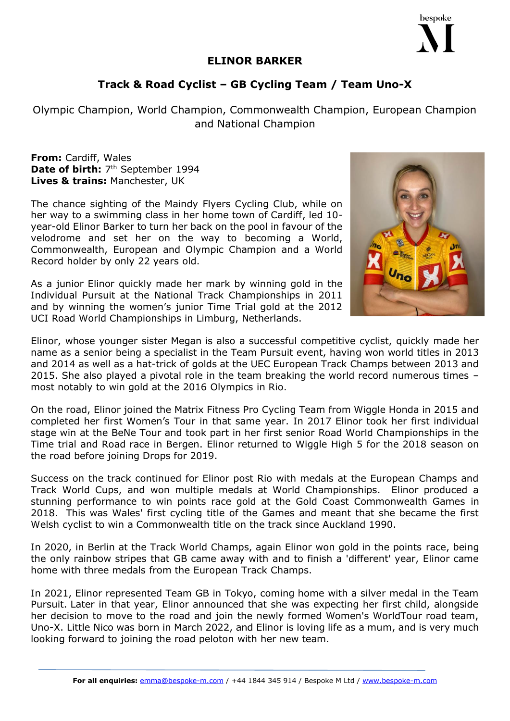## **ELINOR BARKER**

## **Track & Road Cyclist – GB Cycling Team / Team Uno-X**

Olympic Champion, World Champion, Commonwealth Champion, European Champion and National Champion

**From:** Cardiff, Wales Date of birth: 7<sup>th</sup> September 1994 **Lives & trains:** Manchester, UK

The chance sighting of the Maindy Flyers Cycling Club, while on her way to a swimming class in her home town of Cardiff, led 10 year-old Elinor Barker to turn her back on the pool in favour of the velodrome and set her on the way to becoming a World, Commonwealth, European and Olympic Champion and a World Record holder by only 22 years old.

As a junior Elinor quickly made her mark by winning gold in the Individual Pursuit at the National Track Championships in 2011 and by winning the women's junior Time Trial gold at the 2012 UCI Road World Championships in Limburg, Netherlands.

Elinor, whose younger sister Megan is also a successful competitive cyclist, quickly made her name as a senior being a specialist in the Team Pursuit event, having won world titles in 2013 and 2014 as well as a hat-trick of golds at the UEC European Track Champs between 2013 and 2015. She also played a pivotal role in the team breaking the world record numerous times – most notably to win gold at the 2016 Olympics in Rio.

On the road, Elinor joined the Matrix Fitness Pro Cycling Team from Wiggle Honda in 2015 and completed her first Women's Tour in that same year. In 2017 Elinor took her first individual stage win at the BeNe Tour and took part in her first senior Road World Championships in the Time trial and Road race in Bergen. Elinor returned to Wiggle High 5 for the 2018 season on the road before joining Drops for 2019.

Success on the track continued for Elinor post Rio with medals at the European Champs and Track World Cups, and won multiple medals at World Championships. Elinor produced a stunning performance to win points race gold at the Gold Coast Commonwealth Games in 2018. This was Wales' first cycling title of the Games and meant that she became the first Welsh cyclist to win a Commonwealth title on the track since Auckland 1990.

In 2020, in Berlin at the Track World Champs, again Elinor won gold in the points race, being the only rainbow stripes that GB came away with and to finish a 'different' year, Elinor came home with three medals from the European Track Champs.

In 2021, Elinor represented Team GB in Tokyo, coming home with a silver medal in the Team Pursuit. Later in that year, Elinor announced that she was expecting her first child, alongside her decision to move to the road and join the newly formed Women's WorldTour road team, Uno-X. Little Nico was born in March 2022, and Elinor is loving life as a mum, and is very much looking forward to joining the road peloton with her new team.